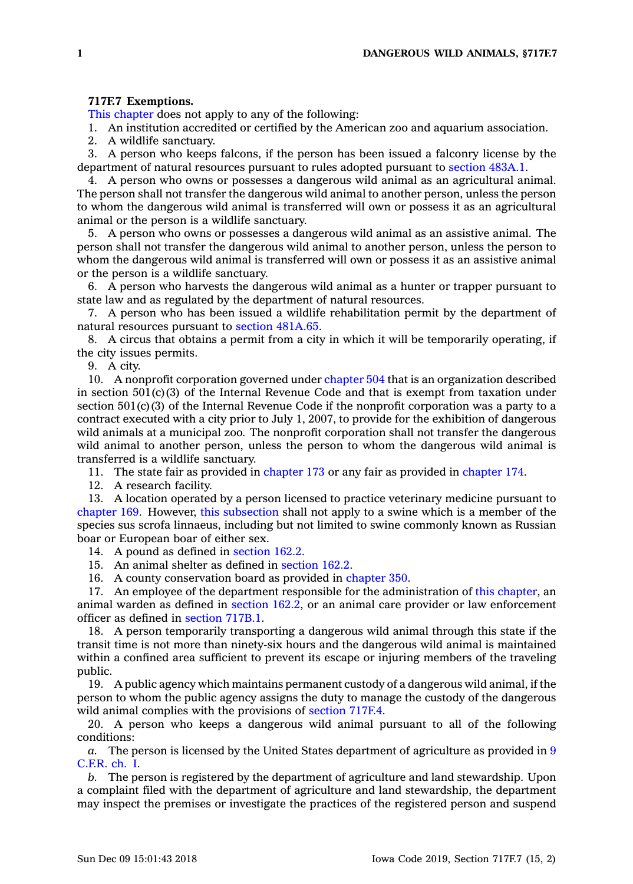## **717F.7 Exemptions.**

This [chapter](https://www.legis.iowa.gov/docs/code//717F.pdf) does not apply to any of the following:

1. An institution accredited or certified by the American zoo and aquarium association.

2. A wildlife sanctuary.

3. A person who keeps falcons, if the person has been issued <sup>a</sup> falconry license by the department of natural resources pursuant to rules adopted pursuant to [section](https://www.legis.iowa.gov/docs/code/483A.1.pdf) 483A.1.

4. A person who owns or possesses <sup>a</sup> dangerous wild animal as an agricultural animal. The person shall not transfer the dangerous wild animal to another person, unless the person to whom the dangerous wild animal is transferred will own or possess it as an agricultural animal or the person is <sup>a</sup> wildlife sanctuary.

5. A person who owns or possesses <sup>a</sup> dangerous wild animal as an assistive animal. The person shall not transfer the dangerous wild animal to another person, unless the person to whom the dangerous wild animal is transferred will own or possess it as an assistive animal or the person is <sup>a</sup> wildlife sanctuary.

6. A person who harvests the dangerous wild animal as <sup>a</sup> hunter or trapper pursuant to state law and as regulated by the department of natural resources.

7. A person who has been issued <sup>a</sup> wildlife rehabilitation permit by the department of natural resources pursuant to section [481A.65](https://www.legis.iowa.gov/docs/code/481A.65.pdf).

8. A circus that obtains <sup>a</sup> permit from <sup>a</sup> city in which it will be temporarily operating, if the city issues permits.

9. A city.

10. A nonprofit corporation governed under [chapter](https://www.legis.iowa.gov/docs/code//504.pdf) 504 that is an organization described in section  $501(c)(3)$  of the Internal Revenue Code and that is exempt from taxation under section  $501(c)(3)$  of the Internal Revenue Code if the nonprofit corporation was a party to a contract executed with <sup>a</sup> city prior to July 1, 2007, to provide for the exhibition of dangerous wild animals at <sup>a</sup> municipal zoo. The nonprofit corporation shall not transfer the dangerous wild animal to another person, unless the person to whom the dangerous wild animal is transferred is <sup>a</sup> wildlife sanctuary.

11. The state fair as provided in [chapter](https://www.legis.iowa.gov/docs/code//173.pdf) 173 or any fair as provided in [chapter](https://www.legis.iowa.gov/docs/code//174.pdf) 174.

12. A research facility.

13. A location operated by <sup>a</sup> person licensed to practice veterinary medicine pursuant to [chapter](https://www.legis.iowa.gov/docs/code//169.pdf) 169. However, this [subsection](https://www.legis.iowa.gov/docs/code/717F.7.pdf) shall not apply to <sup>a</sup> swine which is <sup>a</sup> member of the species sus scrofa linnaeus, including but not limited to swine commonly known as Russian boar or European boar of either sex.

14. A pound as defined in [section](https://www.legis.iowa.gov/docs/code/162.2.pdf) 162.2.

15. An animal shelter as defined in [section](https://www.legis.iowa.gov/docs/code/162.2.pdf) 162.2.

16. A county conservation board as provided in [chapter](https://www.legis.iowa.gov/docs/code//350.pdf) 350.

17. An employee of the department responsible for the administration of this [chapter](https://www.legis.iowa.gov/docs/code//717F.pdf), an animal warden as defined in [section](https://www.legis.iowa.gov/docs/code/162.2.pdf) 162.2, or an animal care provider or law enforcement officer as defined in [section](https://www.legis.iowa.gov/docs/code/717B.1.pdf) 717B.1.

18. A person temporarily transporting <sup>a</sup> dangerous wild animal through this state if the transit time is not more than ninety-six hours and the dangerous wild animal is maintained within <sup>a</sup> confined area sufficient to prevent its escape or injuring members of the traveling public.

19. A public agency which maintains permanent custody of <sup>a</sup> dangerous wild animal, if the person to whom the public agency assigns the duty to manage the custody of the dangerous wild animal complies with the provisions of [section](https://www.legis.iowa.gov/docs/code/717F.4.pdf) 717F.4.

20. A person who keeps <sup>a</sup> dangerous wild animal pursuant to all of the following conditions:

*a.* The person is licensed by the United States department of agriculture as provided in [9](https://www.law.cornell.edu/cfr/text/9/chapter-I) [C.F.R.](https://www.law.cornell.edu/cfr/text/9/chapter-I) ch. I.

*b.* The person is registered by the department of agriculture and land stewardship. Upon <sup>a</sup> complaint filed with the department of agriculture and land stewardship, the department may inspect the premises or investigate the practices of the registered person and suspend